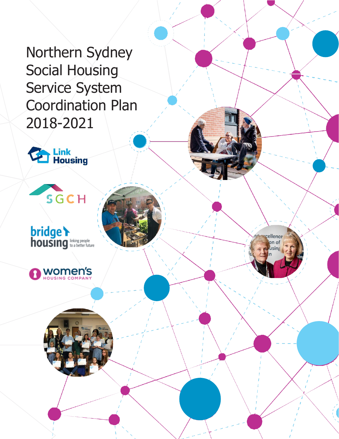Northern Sydney Social Housing Service System Coordination Plan 2018-2021





**bridge \**<br>housing this people



ellenc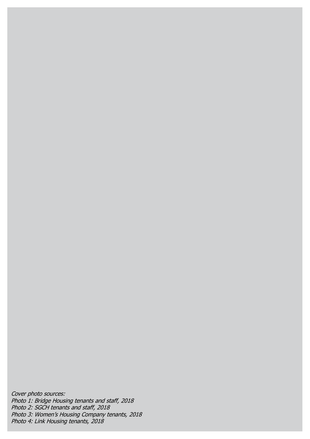Cover photo sources: Photo 1: Bridge Housing tenants and staff, 2018 Photo 2: SGCH tenants and staff, 2018 Photo 3: Women's Housing Company tenants, 2018 Photo 4: Link Housing tenants, 2018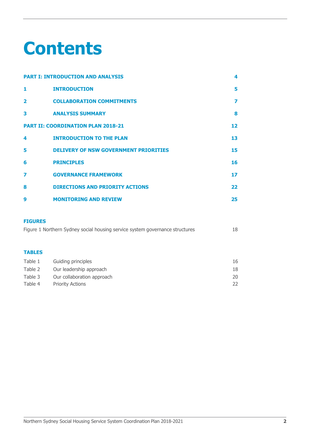# **Contents**

|                         | <b>PART I: INTRODUCTION AND ANALYSIS</b>     | $\overline{\mathbf{A}}$ |
|-------------------------|----------------------------------------------|-------------------------|
| 1                       | <b>INTRODUCTION</b>                          | 5                       |
| $\overline{\mathbf{2}}$ | <b>COLLABORATION COMMITMENTS</b>             | 7                       |
| 3                       | <b>ANALYSIS SUMMARY</b>                      | 8                       |
|                         | <b>PART II: COORDINATION PLAN 2018-21</b>    | 12                      |
| 4                       | <b>INTRODUCTION TO THE PLAN</b>              | 13                      |
| 5                       | <b>DELIVERY OF NSW GOVERNMENT PRIORITIES</b> | 15                      |
| 6                       | <b>PRINCIPLES</b>                            | 16                      |
| 7                       | <b>GOVERNANCE FRAMEWORK</b>                  | 17                      |
| 8                       | <b>DIRECTIONS AND PRIORITY ACTIONS</b>       | 22                      |
| 9                       | <b>MONITORING AND REVIEW</b>                 | 25                      |

#### **FIGURES**

| Figure 1 Northern Sydney social housing service system governance structures |  |
|------------------------------------------------------------------------------|--|
|                                                                              |  |
|                                                                              |  |
| <b>TABLES</b>                                                                |  |

| Guiding principles         | 16 |
|----------------------------|----|
| Our leadership approach    | 18 |
| Our collaboration approach | 20 |
| <b>Priority Actions</b>    | フフ |
|                            |    |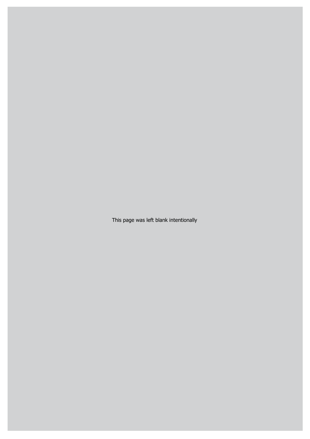This page was left blank intentionally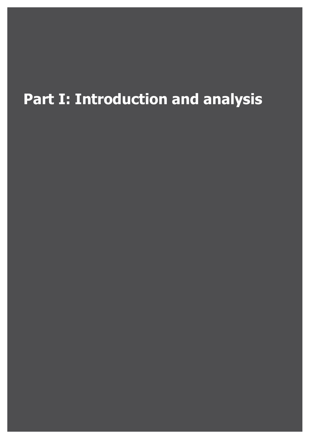# <span id="page-4-0"></span>**Part I: Introduction and analysis**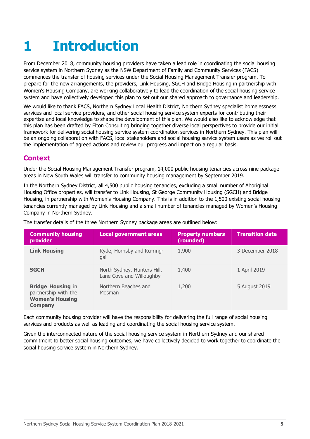## <span id="page-5-0"></span>**1 Introduction**

From December 2018, community housing providers have taken a lead role in coordinating the social housing service system in Northern Sydney as the NSW Department of Family and Community Services (FACS) commences the transfer of housing services under the Social Housing Management Transfer program. To prepare for the new arrangements, the providers, Link Housing, SGCH and Bridge Housing in partnership with Women's Housing Company, are working collaboratively to lead the coordination of the social housing service system and have collectively developed this plan to set out our shared approach to governance and leadership.

We would like to thank FACS, Northern Sydney Local Health District, Northern Sydney specialist homelessness services and local service providers, and other social housing service system experts for contributing their expertise and local knowledge to shape the development of this plan. We would also like to acknowledge that this plan has been drafted by Elton Consulting bringing together diverse local perspectives to provide our initial framework for delivering social housing service system coordination services in Northern Sydney. This plan will be an ongoing collaboration with FACS, local stakeholders and social housing service system users as we roll out the implementation of agreed actions and review our progress and impact on a regular basis.

#### **Context**

Under the Social Housing Management Transfer program, 14,000 public housing tenancies across nine package areas in New South Wales will transfer to community housing management by September 2019.

In the Northern Sydney District, all 4,500 public housing tenancies, excluding a small number of Aboriginal Housing Office properties, will transfer to Link Housing, St George Community Housing (SGCH) and Bridge Housing, in partnership with Women's Housing Company. This is in addition to the 1,500 existing social housing tenancies currently managed by Link Housing and a small number of tenancies managed by Women's Housing Company in Northern Sydney.

The transfer details of the three Northern Sydney package areas are outlined below:

| <b>Community housing</b><br>provider                                                         | <b>Local government areas</b>                           | <b>Property numbers</b><br>(rounded) | <b>Transition date</b> |
|----------------------------------------------------------------------------------------------|---------------------------------------------------------|--------------------------------------|------------------------|
| <b>Link Housing</b>                                                                          | Ryde, Hornsby and Ku-ring-<br>gai                       | 1,900                                | 3 December 2018        |
| <b>SGCH</b>                                                                                  | North Sydney, Hunters Hill,<br>Lane Cove and Willoughby | 1,400                                | 1 April 2019           |
| <b>Bridge Housing in</b><br>partnership with the<br><b>Women's Housing</b><br><b>Company</b> | Northern Beaches and<br>Mosman                          | 1,200                                | 5 August 2019          |

Each community housing provider will have the responsibility for delivering the full range of social housing services and products as well as leading and coordinating the social housing service system.

Given the interconnected nature of the social housing service system in Northern Sydney and our shared commitment to better social housing outcomes, we have collectively decided to work together to coordinate the social housing service system in Northern Sydney.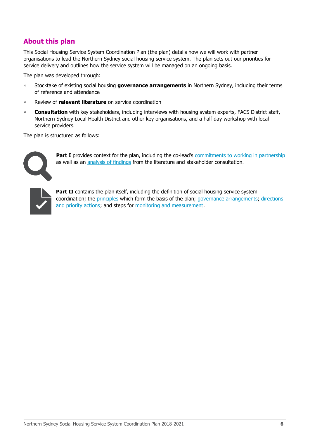### **About this plan**

This Social Housing Service System Coordination Plan (the plan) details how we will work with partner organisations to lead the Northern Sydney social housing service system. The plan sets out our priorities for service delivery and outlines how the service system will be managed on an ongoing basis.

The plan was developed through:

- » Stocktake of existing social housing **governance arrangements** in Northern Sydney, including their terms of reference and attendance
- » Review of **relevant literature** on service coordination
- » **Consultation** with key stakeholders, including interviews with housing system experts, FACS District staff, Northern Sydney Local Health District and other key organisations, and a half day workshop with local service providers.

The plan is structured as follows:



**Part I** provides context for the plan, including the co-lead's [commitments to working in partnership](#page-7-0) as well as an [analysis of findings](#page-8-0) from the literature and stakeholder consultation.



Part II contains the plan itself, including the definition of social housing service system coordination; the [principles](#page-16-0) which form the basis of the plan; [governance arrangements;](#page-17-0) [directions](#page-22-0) [and priority actions;](#page-22-0) and steps for [monitoring and measurement.](#page-25-0)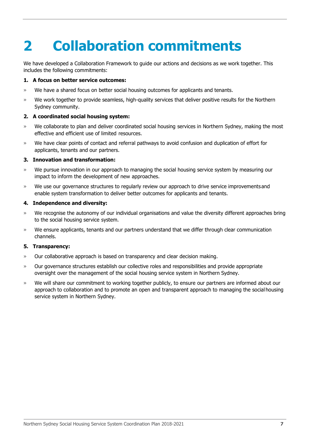## <span id="page-7-0"></span>**2 Collaboration commitments**

We have developed a Collaboration Framework to guide our actions and decisions as we work together. This includes the following commitments:

#### **1. A focus on better service outcomes:**

- » We have a shared focus on better social housing outcomes for applicants and tenants.
- » We work together to provide seamless, high-quality services that deliver positive results for the Northern Sydney community.

#### **2. A coordinated social housing system:**

- » We collaborate to plan and deliver coordinated social housing services in Northern Sydney, making the most effective and efficient use of limited resources.
- » We have clear points of contact and referral pathways to avoid confusion and duplication of effort for applicants, tenants and our partners.

#### **3. Innovation and transformation:**

- » We pursue innovation in our approach to managing the social housing service system by measuring our impact to inform the development of new approaches.
- » We use our governance structures to regularly review our approach to drive service improvementsand enable system transformation to deliver better outcomes for applicants and tenants.

#### **4. Independence and diversity:**

- » We recognise the autonomy of our individual organisations and value the diversity different approaches bring to the social housing service system.
- » We ensure applicants, tenants and our partners understand that we differ through clear communication channels.

#### **5. Transparency:**

- » Our collaborative approach is based on transparency and clear decision making.
- » Our governance structures establish our collective roles and responsibilities and provide appropriate oversight over the management of the social housing service system in Northern Sydney.
- » We will share our commitment to working together publicly, to ensure our partners are informed about our approach to collaboration and to promote an open and transparent approach to managing the social housing service system in Northern Sydney.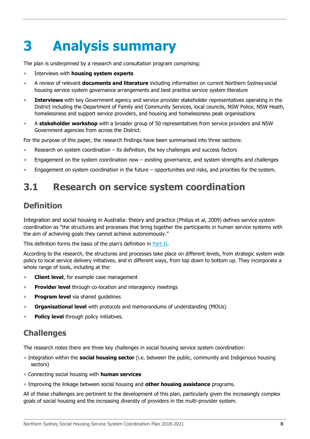## <span id="page-8-0"></span>**3 Analysis summary**

The plan is underpinned by a research and consultation program comprising:

- » Interviews with **housing system experts**
- » A review of relevant **documents and literature** including information on current Northern Sydneysocial housing service system governance arrangements and best practice service system literature
- » **Interviews** with key Government agency and service provider stakeholder representatives operating in the District including the Department of Family and Community Services, local councils, NSW Police, NSW Heath, homelessness and support service providers, and housing and homelessness peak organisations
- » A **stakeholder workshop** with a broader group of 50 representatives from service providers and NSW Government agencies from across the District.

For the purpose of this paper, the research findings have been summarised into three sections:

- $\gg$  Research on system coordination its definition, the key challenges and success factors
- » Engagement on the system coordination now existing governance, and system strengths and challenges
- » Engagement on system coordination in the future opportunities and risks, and priorities for the system.

### **3.1 Research on service system coordination**

### **Definition**

Integration and social housing in Australia: theory and practice (Philips et al, 2009) defines service system coordination as "the structures and processes that bring together the participants in human service systems with the aim of achieving goals they cannot achieve autonomously."

This definition forms the basis of the plan's definition in [Part II.](#page-13-0)

According to the research, the structures and processes take place on different levels, from strategic system wide policy to local service delivery initiatives, and in different ways, from top down to bottom up. They incorporate a whole range of tools, including at the:

- » **Client level**, for example case management
- » **Provider level** through co-location and interagency meetings
- » **Program level** via shared guidelines
- » **Organisational level** with protocols and memorandums of understanding (MOUs)
- » **Policy level** through policy initiatives.

### **Challenges**

The research notes there are three key challenges in social housing service system coordination:

- » Integration within the **social housing sector** (i.e. between the public, community and Indigenous housing sectors)
- » Connecting social housing with **human services**
- » Improving the linkage between social housing and **other housing assistance** programs.

All of these challenges are pertinent to the development of this plan, particularly given the increasingly complex goals of social housing and the increasing diversity of providers in the multi-provider system.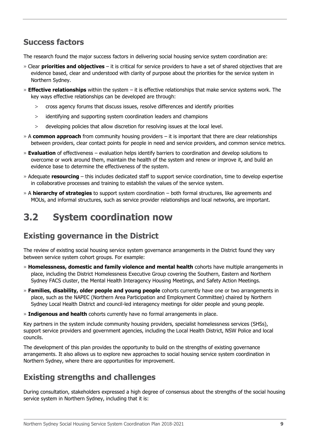### **Success factors**

The research found the major success factors in delivering social housing service system coordination are:

- » Clear **priorities and objectives**  it is critical for service providers to have a set of shared objectives that are evidence based, clear and understood with clarity of purpose about the priorities for the service system in Northern Sydney.
- » **Effective relationships** within the system it is effective relationships that make service systems work. The key ways effective relationships can be developed are through:
	- > cross agency forums that discuss issues, resolve differences and identify priorities
	- > identifying and supporting system coordination leaders and champions
	- > developing policies that allow discretion for resolving issues at the local level.
- » A **common approach** from community housing providers it is important that there are clear relationships between providers, clear contact points for people in need and service providers, and common service metrics.
- » **Evaluation** of effectiveness evaluation helps identify barriers to coordination and develop solutions to overcome or work around them, maintain the health of the system and renew or improve it, and build an evidence base to determine the effectiveness of the system.
- » Adequate **resourcing**  this includes dedicated staff to support service coordination, time to develop expertise in collaborative processes and training to establish the values of the service system.
- » A **hierarchy of strategies** to support system coordination both formal structures, like agreements and MOUs, and informal structures, such as service provider relationships and local networks, are important.

## **3.2 System coordination now**

### **Existing governance in the District**

The review of existing social housing service system governance arrangements in the District found they vary between service system cohort groups. For example:

- » **Homelessness, domestic and family violence and mental health** cohorts have multiple arrangements in place, including the District Homelessness Executive Group covering the Southern, Eastern and Northern Sydney FACS cluster, the Mental Health Interagency Housing Meetings, and Safety Action Meetings.
- » **Families, disability, older people and young people** cohorts currently have one or two arrangements in place, such as the NAPEC (Northern Area Participation and Employment Committee) chaired by Northern Sydney Local Health District and council-led interagency meetings for older people and young people.
- » **Indigenous and health** cohorts currently have no formal arrangements in place.

Key partners in the system include community housing providers, specialist homelessness services (SHSs), support service providers and government agencies, including the Local Health District, NSW Police and local councils.

The development of this plan provides the opportunity to build on the strengths of existing governance arrangements. It also allows us to explore new approaches to social housing service system coordination in Northern Sydney, where there are opportunities for improvement.

### **Existing strengths and challenges**

During consultation, stakeholders expressed a high degree of consensus about the strengths of the social housing service system in Northern Sydney, including that it is: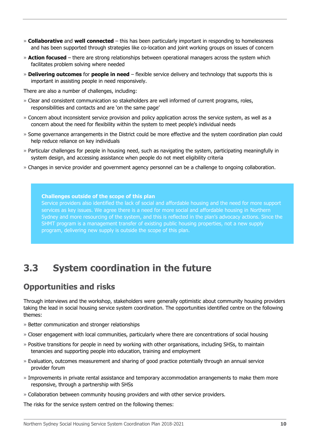- » **Collaborative** and **well connected**  this has been particularly important in responding to homelessness and has been supported through strategies like co-location and joint working groups on issues of concern
- » **Action focused**  there are strong relationships between operational managers across the system which facilitates problem solving where needed
- » **Delivering outcomes** for **people in need**  flexible service delivery and technology that supports this is important in assisting people in need responsively.

There are also a number of challenges, including:

- » Clear and consistent communication so stakeholders are well informed of current programs, roles, responsibilities and contacts and are 'on the same page'
- » Concern about inconsistent service provision and policy application across the service system, as well as a concern about the need for flexibility within the system to meet people's individual needs
- » Some governance arrangements in the District could be more effective and the system coordination plan could help reduce reliance on key individuals
- » Particular challenges for people in housing need, such as navigating the system, participating meaningfully in system design, and accessing assistance when people do not meet eligibility criteria
- » Changes in service provider and government agency personnel can be a challenge to ongoing collaboration.

#### **Challenges outside of the scope of this plan**

Service providers also identified the lack of social and affordable housing and the need for more support services as key issues. We agree there is a need for more social and affordable housing in Northern Sydney and more resourcing of the system, and this is reflected in the plan's advocacy actions. Since the SHMT program is a management transfer of existing public housing properties, not a new supply program, delivering new supply is outside the scope of this plan.

### **3.3 System coordination in the future**

### **Opportunities and risks**

Through interviews and the workshop, stakeholders were generally optimistic about community housing providers taking the lead in social housing service system coordination. The opportunities identified centre on the following themes:

- » Better communication and stronger relationships
- » Closer engagement with local communities, particularly where there are concentrations of social housing
- » Positive transitions for people in need by working with other organisations, including SHSs, to maintain tenancies and supporting people into education, training and employment
- » Evaluation, outcomes measurement and sharing of good practice potentially through an annual service provider forum
- » Improvements in private rental assistance and temporary accommodation arrangements to make them more responsive, through a partnership with SHSs
- » Collaboration between community housing providers and with other service providers.

The risks for the service system centred on the following themes: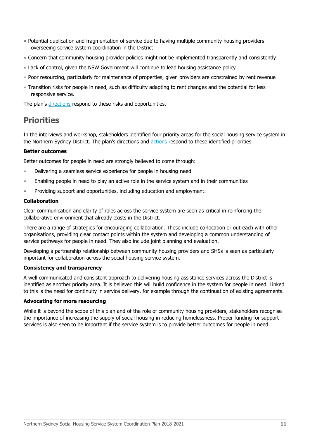- » Potential duplication and fragmentation of service due to having multiple community housing providers overseeing service system coordination in the District
- » Concern that community housing provider policies might not be implemented transparently and consistently
- » Lack of control, given the NSW Government will continue to lead housing assistance policy
- » Poor resourcing, particularly for maintenance of properties, given providers are constrained by rent revenue
- » Transition risks for people in need, such as difficulty adapting to rent changes and the potential for less responsive service.

The plan's [directions](#page-22-0) respond to these risks and opportunities.

### **Priorities**

In the interviews and workshop, stakeholders identified four priority areas for the social housing service system in the Northern Sydney District. The plan's directions and [actions](#page-22-0) respond to these identified priorities.

#### **Better outcomes**

Better outcomes for people in need are strongly believed to come through:

- » Delivering a seamless service experience for people in housing need
- $\gg$  Enabling people in need to play an active role in the service system and in their communities
- » Providing support and opportunities, including education and employment.

#### **Collaboration**

Clear communication and clarity of roles across the service system are seen as critical in reinforcing the collaborative environment that already exists in the District.

There are a range of strategies for encouraging collaboration. These include co-location or outreach with other organisations, providing clear contact points within the system and developing a common understanding of service pathways for people in need. They also include joint planning and evaluation.

Developing a partnership relationship between community housing providers and SHSs is seen as particularly important for collaboration across the social housing service system.

#### **Consistency and transparency**

A well communicated and consistent approach to delivering housing assistance services across the District is identified as another priority area. It is believed this will build confidence in the system for people in need. Linked to this is the need for continuity in service delivery, for example through the continuation of existing agreements.

#### **Advocating for more resourcing**

While it is beyond the scope of this plan and of the role of community housing providers, stakeholders recognise the importance of increasing the supply of social housing in reducing homelessness. Proper funding for support services is also seen to be important if the service system is to provide better outcomes for people in need.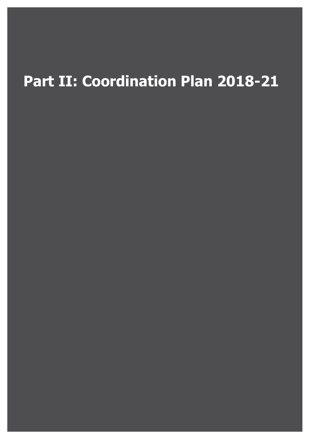## <span id="page-12-0"></span>**Part II: Coordination Plan 2018-21**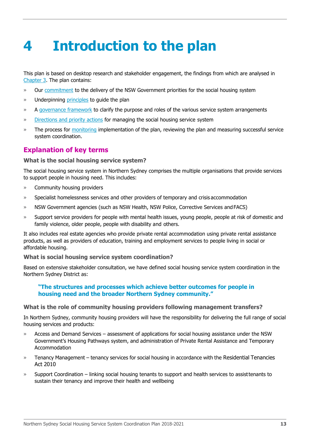## <span id="page-13-0"></span>**4 Introduction to the plan**

This plan is based on desktop research and stakeholder engagement, the findings from which are analysed in [Chapter 3. T](#page-8-0)he plan contains:

- » Our [commitment](#page-15-0) to the delivery of the NSW Government priorities for the social housing system
- » Underpinning [principles](#page-16-0) to guide the plan
- » A [governance framework](#page-17-0) to clarify the purpose and roles of the various service system arrangements
- » [Directions and priority actions](#page-22-0) for managing the social housing service system
- » The process for [monitoring](#page-25-0) implementation of the plan, reviewing the plan and measuring successful service system coordination.

#### **Explanation of key terms**

#### **What is the social housing service system?**

The social housing service system in Northern Sydney comprises the multiple organisations that provide services to support people in housing need. This includes:

- » Community housing providers
- » Specialist homelessness services and other providers of temporary and crisis accommodation
- » NSW Government agencies (such as NSW Health, NSW Police, Corrective Services and FACS)
- » Support service providers for people with mental health issues, young people, people at risk of domestic and family violence, older people, people with disability and others.

It also includes real estate agencies who provide private rental accommodation using private rental assistance products, as well as providers of education, training and employment services to people living in social or affordable housing.

#### **What is social housing service system coordination?**

Based on extensive stakeholder consultation, we have defined social housing service system coordination in the Northern Sydney District as:

#### **"The structures and processes which achieve better outcomes for people in housing need and the broader Northern Sydney community."**

#### **What is the role of community housing providers following management transfers?**

In Northern Sydney, community housing providers will have the responsibility for delivering the full range of social housing services and products:

- » Access and Demand Services assessment of applications for social housing assistance under the NSW Government's Housing Pathways system, and administration of Private Rental Assistance and Temporary Accommodation
- $\gg$  Tenancy Management tenancy services for social housing in accordance with the Residential Tenancies Act 2010
- » Support Coordination linking social housing tenants to support and health services to assisttenants to sustain their tenancy and improve their health and wellbeing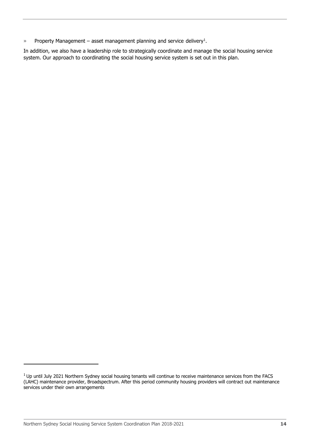$\gg$  Property Management – asset management planning and service delivery<sup>1</sup>.

In addition, we also have a leadership role to strategically coordinate and manage the social housing service system. Our approach to coordinating the social housing service system is set out in this plan.

<sup>&</sup>lt;sup>1</sup> Up until July 2021 Northern Sydney social housing tenants will continue to receive maintenance services from the FACS (LAHC) maintenance provider, Broadspectrum. After this period community housing providers will contract out maintenance services under their own arrangements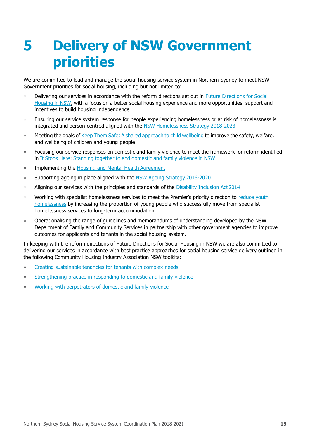## <span id="page-15-0"></span>**5 Delivery of NSW Government priorities**

We are committed to lead and manage the social housing service system in Northern Sydney to meet NSW Government priorities for social housing, including but not limited to:

- » Delivering our services in accordance with the reform directions set out in [Future Directions for Social](http://www.socialhousing.nsw.gov.au/?a=348442) [Housing](http://www.socialhousing.nsw.gov.au/?a=348442) in NSW, with a focus on a better social housing experience and more opportunities, support and incentives to build housing independence
- » Ensuring our service system response for people experiencing homelessness or at risk of homelessness is integrated and person-centred aligned with the NSW [Homelessness](https://www.facs.nsw.gov.au/about/reforms/homelessness) Strategy 2018-2023
- » Meeting the goals of Keep Them Safe: A shared approach to child [wellbeing](http://www.keepthemsafe.nsw.gov.au/about) to improve the safety, welfare, and wellbeing of children and young people
- » Focusing our service responses on domestic and family violence to meet the framework for reform identified in It Stops Here: Standing together to end [domestic](https://www.women.nsw.gov.au/__data/assets/file/0003/289461/It_stops_Here_final_Feb2014.pdf) and family violence in NSW
- » Implementing the [Housing and Mental Health](https://www.housing.nsw.gov.au/__data/assets/pdf_file/0006/326166/HousingandMentalHealthAgreement.pdf) Agreement
- » Supporting ageing in place aligned with the [NSW Ageing Strategy](https://www.facs.nsw.gov.au/inclusion/ageing) 2016-2020
- » Aligning our services with the principles and standards of the [Disability Inclusion Act](https://legislation.nsw.gov.au/%23/view/act/2014/41/full) 2014
- » Working with specialist homelessness services to meet the Premier's priority direction to [reduce youth](https://www.nsw.gov.au/improving-nsw/premiers-priorities/reducing-youth-homelessness/) [homelessness](https://www.nsw.gov.au/improving-nsw/premiers-priorities/reducing-youth-homelessness/) by increasing the proportion of young people who successfully move from specialist homelessness services to long-term accommodation
- » Operationalising the range of guidelines and memorandums of understanding developed by the NSW Department of Family and Community Services in partnership with other government agencies to improve outcomes for applicants and tenants in the social housing system.

In keeping with the reform directions of Future Directions for Social Housing in NSW we are also committed to delivering our services in accordance with best practice approaches for social housing service delivery outlined in the following Community Housing Industry Association NSW toolkits:

- » [Creating sustainable tenancies for tenants with complex](http://nswfha.wpengine.com/information/resources/creating-sustainable-tenancies-for-tenants-with-complex-needs/) needs
- » [Strengthening practice in responding to domestic and family](http://nswfha.wpengine.com/information/resources/strengthening-practice-in-responding-to-domestic-and-family-violence/) violence
- » [Working with perpetrators of domestic and family](http://communityhousing.org.au/information/resources/working-with-perpetrators-of-domestic-and-family-violence/) violence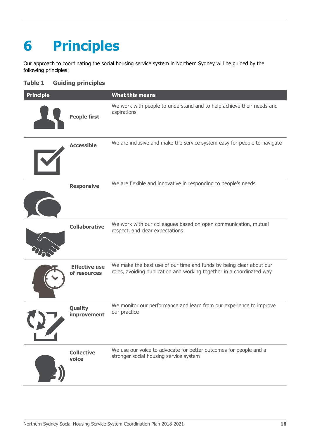## <span id="page-16-0"></span>**6 Principles**

Our approach to coordinating the social housing service system in Northern Sydney will be guided by the following principles:

# <span id="page-16-1"></span>**Table 1 Guiding principles**

| <b>Principle</b> |                                      | What this means                                                                                                                              |
|------------------|--------------------------------------|----------------------------------------------------------------------------------------------------------------------------------------------|
|                  | <b>People first</b>                  | We work with people to understand and to help achieve their needs and<br>aspirations                                                         |
|                  | <b>Accessible</b>                    | We are inclusive and make the service system easy for people to navigate                                                                     |
|                  | <b>Responsive</b>                    | We are flexible and innovative in responding to people's needs                                                                               |
|                  | <b>Collaborative</b>                 | We work with our colleagues based on open communication, mutual<br>respect, and clear expectations                                           |
|                  | <b>Effective use</b><br>of resources | We make the best use of our time and funds by being clear about our<br>roles, avoiding duplication and working together in a coordinated way |
|                  | Quality<br>improvement               | We monitor our performance and learn from our experience to improve<br>our practice                                                          |
|                  | <b>Collective</b><br>voice           | We use our voice to advocate for better outcomes for people and a<br>stronger social housing service system                                  |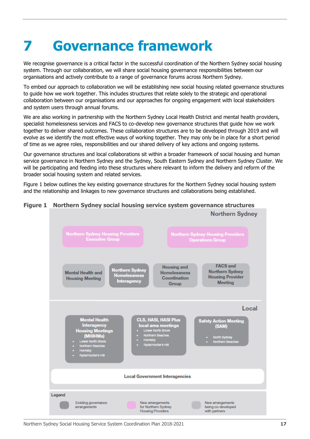## <span id="page-17-0"></span>**7 Governance framework**

We recognise governance is a critical factor in the successful coordination of the Northern Sydney social housing system. Through our collaboration, we will share social housing governance responsibilities between our organisations and actively contribute to a range of governance forums across Northern Sydney.

To embed our approach to collaboration we will be establishing new social housing related governance structures to guide how we work together. This includes structures that relate solely to the strategic and operational collaboration between our organisations and our approaches for ongoing engagement with local stakeholders and system users through annual forums.

We are also working in partnership with the Northern Sydney Local Health District and mental health providers, specialist homelessness services and FACS to co-develop new governance structures that guide how we work together to deliver shared outcomes. These collaboration structures are to be developed through 2019 and will evolve as we identify the most effective ways of working together. They may only be in place for a short period of time as we agree roles, responsibilities and our shared delivery of key actions and ongoing systems.

Our governance structures and local collaborations sit within a broader framework of social housing and human service governance in Northern Sydney and the Sydney, South Eastern Sydney and Northern Sydney Cluster. We will be participating and feeding into these structures where relevant to inform the delivery and reform of the broader social housing system and related services.

Figure 1 below outlines the key existing governance structures for the Northern Sydney social housing system and the relationship and linkages to new governance structures and collaborations being established.

<span id="page-17-1"></span>

#### **Figure 1 Northern Sydney social housing service system governance structures**

Northern Sydney Social Housing Service System Coordination Plan 2018-2021 **17**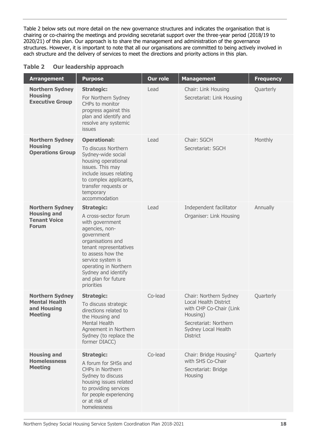Table 2 below sets out more detail on the new governance structures and indicates the organisation that is chairing or co-chairing the meetings and providing secretariat support over the three-year period (2018/19 to 2020/21) of this plan. Our approach is to share the management and administration of the governance structures. However, it is important to note that all our organisations are committed to being actively involved in each structure and the delivery of services to meet the directions and priority actions in this plan.

<span id="page-18-0"></span>

| <b>Arrangement</b>                                                                  | <b>Purpose</b>                                                                                                                                                                                                                                                             | <b>Our role</b> | <b>Management</b>                                                                                                                                                | <b>Frequency</b> |
|-------------------------------------------------------------------------------------|----------------------------------------------------------------------------------------------------------------------------------------------------------------------------------------------------------------------------------------------------------------------------|-----------------|------------------------------------------------------------------------------------------------------------------------------------------------------------------|------------------|
| <b>Northern Sydney</b><br><b>Housing</b><br><b>Executive Group</b>                  | <b>Strategic:</b><br>For Northern Sydney<br>CHPs to monitor<br>progress against this<br>plan and identify and<br>resolve any systemic<br><b>issues</b>                                                                                                                     | Lead            | Chair: Link Housing<br>Secretariat: Link Housing                                                                                                                 | Quarterly        |
| <b>Northern Sydney</b><br><b>Housing</b><br><b>Operations Group</b>                 | <b>Operational:</b><br>To discuss Northern<br>Sydney-wide social<br>housing operational<br>issues. This may<br>include issues relating<br>to complex applicants,<br>transfer requests or<br>temporary<br>accommodation                                                     | Lead            | Chair: SGCH<br>Secretariat: SGCH                                                                                                                                 | Monthly          |
| <b>Northern Sydney</b><br><b>Housing and</b><br><b>Tenant Voice</b><br><b>Forum</b> | <b>Strategic:</b><br>A cross-sector forum<br>with government<br>agencies, non-<br>government<br>organisations and<br>tenant representatives<br>to assess how the<br>service system is<br>operating in Northern<br>Sydney and identify<br>and plan for future<br>priorities | Lead            | Independent facilitator<br>Organiser: Link Housing                                                                                                               | Annually         |
| <b>Northern Sydney</b><br><b>Mental Health</b><br>and Housing<br><b>Meeting</b>     | <b>Strategic:</b><br>To discuss strategic<br>directions related to<br>the Housing and<br><b>Mental Health</b><br>Agreement in Northern<br>Sydney (to replace the<br>former DIACC)                                                                                          | Co-lead         | Chair: Northern Sydney<br><b>Local Health District</b><br>with CHP Co-Chair (Link<br>Housing)<br>Secretariat: Northern<br>Sydney Local Health<br><b>District</b> | Quarterly        |
| <b>Housing and</b><br><b>Homelessness</b><br><b>Meeting</b>                         | <b>Strategic:</b><br>A forum for SHSs and<br>CHPs in Northern<br>Sydney to discuss<br>housing issues related<br>to providing services<br>for people experiencing<br>or at risk of<br>homelessness                                                                          | Co-lead         | Chair: Bridge Housing <sup>2</sup><br>with SHS Co-Chair<br>Secretariat: Bridge<br>Housing                                                                        | Quarterly        |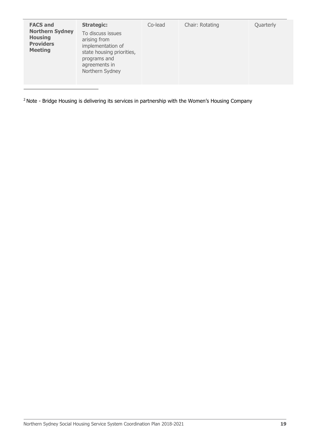| <b>FACS and</b><br><b>Northern Sydney</b><br><b>Housing</b><br><b>Providers</b><br><b>Meeting</b> | <b>Strategic:</b><br>To discuss issues<br>arising from<br>implementation of<br>state housing priorities,<br>programs and<br>agreements in<br>Northern Sydney | Co-lead | Chair: Rotating | Quarterly |
|---------------------------------------------------------------------------------------------------|--------------------------------------------------------------------------------------------------------------------------------------------------------------|---------|-----------------|-----------|
|---------------------------------------------------------------------------------------------------|--------------------------------------------------------------------------------------------------------------------------------------------------------------|---------|-----------------|-----------|

<sup>2</sup> Note - Bridge Housing is delivering its services in partnership with the Women's Housing Company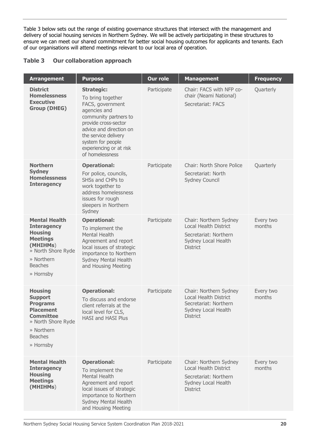Table 3 below sets out the range of existing governance structures that intersect with the management and delivery of social housing services in Northern Sydney. We will be actively participating in these structures to ensure we can meet our shared commitment for better social housing outcomes for applicants and tenants. Each of our organisations will attend meetings relevant to our local area of operation.

#### **Table 3 Our collaboration approach**

| <b>Arrangement</b>                                                                                                                                             | <b>Purpose</b>                                                                                                                                                                                                                                    | <b>Our role</b> | <b>Management</b>                                                                                                         | <b>Frequency</b>    |
|----------------------------------------------------------------------------------------------------------------------------------------------------------------|---------------------------------------------------------------------------------------------------------------------------------------------------------------------------------------------------------------------------------------------------|-----------------|---------------------------------------------------------------------------------------------------------------------------|---------------------|
| <b>District</b><br><b>Homelessness</b><br><b>Executive</b><br><b>Group (DHEG)</b>                                                                              | <b>Strategic:</b><br>To bring together<br>FACS, government<br>agencies and<br>community partners to<br>provide cross-sector<br>advice and direction on<br>the service delivery<br>system for people<br>experiencing or at risk<br>of homelessness | Participate     | Chair: FACS with NFP co-<br>chair (Neami National)<br>Secretariat: FACS                                                   | Quarterly           |
| <b>Northern</b><br><b>Sydney</b><br><b>Homelessness</b><br><b>Interagency</b>                                                                                  | <b>Operational:</b><br>For police, councils,<br>SHSs and CHPs to<br>work together to<br>address homelessness<br>issues for rough<br>sleepers in Northern<br>Sydney                                                                                | Participate     | Chair: North Shore Police<br>Secretariat: North<br><b>Sydney Council</b>                                                  | Quarterly           |
| <b>Mental Health</b><br><b>Interagency</b><br><b>Housing</b><br><b>Meetings</b><br>(MHIHMs)<br>» North Shore Ryde<br>» Northern<br><b>Beaches</b><br>» Hornsby | <b>Operational:</b><br>To implement the<br>Mental Health<br>Agreement and report<br>local issues of strategic<br>importance to Northern<br>Sydney Mental Health<br>and Housing Meeting                                                            | Participate     | Chair: Northern Sydney<br><b>Local Health District</b><br>Secretariat: Northern<br>Sydney Local Health<br><b>District</b> | Every two<br>months |
| <b>Housing</b><br><b>Support</b><br><b>Programs</b><br><b>Placement</b><br><b>Committee</b><br>» North Shore Ryde<br>» Northern<br><b>Beaches</b><br>» Hornsby | <b>Operational:</b><br>To discuss and endorse<br>client referrals at the<br>local level for CLS,<br><b>HASI and HASI Plus</b>                                                                                                                     | Participate     | Chair: Northern Sydney<br><b>Local Health District</b><br>Secretariat: Northern<br>Sydney Local Health<br><b>District</b> | Every two<br>months |
| <b>Mental Health</b><br><b>Interagency</b><br><b>Housing</b><br><b>Meetings</b><br>(MHIHMs)                                                                    | <b>Operational:</b><br>To implement the<br><b>Mental Health</b><br>Agreement and report<br>local issues of strategic<br>importance to Northern<br>Sydney Mental Health<br>and Housing Meeting                                                     | Participate     | Chair: Northern Sydney<br><b>Local Health District</b><br>Secretariat: Northern<br>Sydney Local Health<br><b>District</b> | Every two<br>months |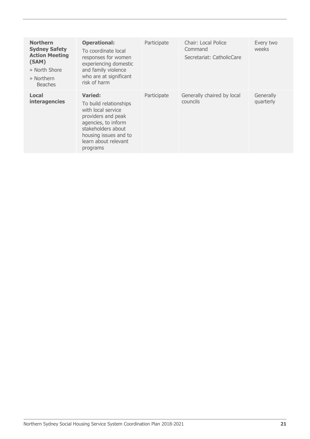| <b>Northern</b><br><b>Sydney Safety</b><br><b>Action Meeting</b><br>(SAM)<br>» North Shore<br>» Northern<br><b>Beaches</b> | <b>Operational:</b><br>To coordinate local<br>responses for women<br>experiencing domestic<br>and family violence<br>who are at significant<br>risk of harm                                    | Participate | Chair: Local Police<br>Command<br>Secretariat: CatholicCare | Every two<br>weeks     |
|----------------------------------------------------------------------------------------------------------------------------|------------------------------------------------------------------------------------------------------------------------------------------------------------------------------------------------|-------------|-------------------------------------------------------------|------------------------|
| Local<br>interagencies                                                                                                     | <b>Varied:</b><br>To build relationships<br>with local service<br>providers and peak<br>agencies, to inform<br>stakeholders about<br>housing issues and to<br>learn about relevant<br>programs | Participate | Generally chaired by local<br>councils                      | Generally<br>quarterly |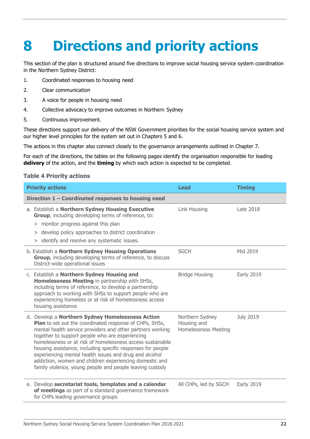## <span id="page-22-0"></span>**8 Directions and priority actions**

This section of the plan is structured around five directions to improve social housing service system coordination in the Northern Sydney District:

- 1. Coordinated responses to housing need
- 2. Clear communication
- 3. A voice for people in housing need
- 4. Collective advocacy to improve outcomes in Northern Sydney
- 5. Continuous improvement.

These directions support our delivery of the NSW Government priorities for the social housing service system and our higher level principles for the system set out in Chapters 5 and 6.

The actions in this chapter also connect closely to the governance arrangements outlined in Chapter 7.

For each of the directions, the tables on the following pages identify the organisation responsible for leading **delivery** of the action, and the **timing** by which each action is expected to be completed.

#### <span id="page-22-1"></span>**Table 4 Priority actions**

| <b>Priority actions</b>                                                                                                                                                                                                                                                                                                                                                                                                                                                                                                                    | <b>Lead</b>                                                   | <b>Timing</b>     |
|--------------------------------------------------------------------------------------------------------------------------------------------------------------------------------------------------------------------------------------------------------------------------------------------------------------------------------------------------------------------------------------------------------------------------------------------------------------------------------------------------------------------------------------------|---------------------------------------------------------------|-------------------|
| Direction 1 - Coordinated responses to housing need                                                                                                                                                                                                                                                                                                                                                                                                                                                                                        |                                                               |                   |
| a. Establish a Northern Sydney Housing Executive<br>Group, including developing terms of reference, to:<br>> monitor progress against this plan<br>> develop policy approaches to district coordination<br>> identify and resolve any systematic issues.                                                                                                                                                                                                                                                                                   | Link Housing                                                  | Late 2018         |
| b. Establish a Northern Sydney Housing Operations<br><b>Group</b> , including developing terms of reference, to discuss<br>District-wide operational issues                                                                                                                                                                                                                                                                                                                                                                                | <b>SGCH</b>                                                   | Mid 2019          |
| c. Establish a Northern Sydney Housing and<br>Homelessness Meeting in partnership with SHSs,<br>including terms of reference, to develop a partnership<br>approach to working with SHSs to support people who are<br>experiencing homeless or at risk of homelessness access<br>housing assistance                                                                                                                                                                                                                                         | <b>Bridge Housing</b>                                         | <b>Early 2019</b> |
| d. Develop a Northern Sydney Homelessness Action<br>Plan to set out the coordinated response of CHPs, SHSs,<br>mental health service providers and other partners working<br>together to support people who are experiencing<br>homelessness or at risk of homelessness access sustainable<br>housing assistance, including specific responses for people<br>experiencing mental health issues and drug and alcohol<br>addiction, women and children experiencing domestic and<br>family violence, young people and people leaving custody | Northern Sydney<br>Housing and<br><b>Homelessness Meeting</b> | <b>July 2019</b>  |
| e. Develop secretariat tools, templates and a calendar<br>of meetings as part of a standard governance framework<br>for CHPs leading governance groups                                                                                                                                                                                                                                                                                                                                                                                     | All CHPs, led by SGCH                                         | <b>Early 2019</b> |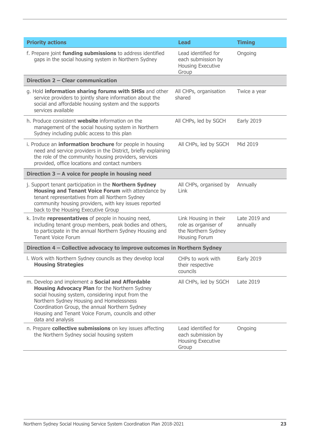| <b>Priority actions</b>                                                                                                                                                                                                                                                                                                         | <b>Lead</b>                                                                                  | <b>Timing</b>             |
|---------------------------------------------------------------------------------------------------------------------------------------------------------------------------------------------------------------------------------------------------------------------------------------------------------------------------------|----------------------------------------------------------------------------------------------|---------------------------|
| f. Prepare joint funding submissions to address identified<br>gaps in the social housing system in Northern Sydney                                                                                                                                                                                                              | Lead identified for<br>each submission by<br><b>Housing Executive</b><br>Group               | Ongoing                   |
| Direction 2 - Clear communication                                                                                                                                                                                                                                                                                               |                                                                                              |                           |
| g. Hold information sharing forums with SHSs and other<br>service providers to jointly share information about the<br>social and affordable housing system and the supports<br>services available                                                                                                                               | All CHPs, organisation<br>shared                                                             | Twice a year              |
| h. Produce consistent <b>website</b> information on the<br>management of the social housing system in Northern<br>Sydney including public access to this plan                                                                                                                                                                   | All CHPs, led by SGCH                                                                        | <b>Early 2019</b>         |
| i. Produce an <i>information</i> brochure for people in housing<br>need and service providers in the District, briefly explaining<br>the role of the community housing providers, services<br>provided, office locations and contact numbers                                                                                    | All CHPs, led by SGCH                                                                        | Mid 2019                  |
| Direction $3 - A$ voice for people in housing need                                                                                                                                                                                                                                                                              |                                                                                              |                           |
| j. Support tenant participation in the Northern Sydney<br>Housing and Tenant Voice Forum with attendance by<br>tenant representatives from all Northern Sydney<br>community housing providers, with key issues reported<br>back to the Housing Executive Group                                                                  | All CHPs, organised by<br>Link                                                               | Annually                  |
| k. Invite representatives of people in housing need,<br>including tenant group members, peak bodies and others,<br>to participate in the annual Northern Sydney Housing and<br><b>Tenant Voice Forum</b>                                                                                                                        | Link Housing in their<br>role as organiser of<br>the Northern Sydney<br><b>Housing Forum</b> | Late 2019 and<br>annually |
| Direction 4 – Collective advocacy to improve outcomes in Northern Sydney                                                                                                                                                                                                                                                        |                                                                                              |                           |
| I. Work with Northern Sydney councils as they develop local<br><b>Housing Strategies</b>                                                                                                                                                                                                                                        | CHPs to work with<br>their respective<br>councils                                            | <b>Early 2019</b>         |
| m. Develop and implement a Social and Affordable<br>Housing Advocacy Plan for the Northern Sydney<br>social housing system, considering input from the<br>Northern Sydney Housing and Homelessness<br>Coordination Group, the annual Northern Sydney<br>Housing and Tenant Voice Forum, councils and other<br>data and analysis | All CHPs, led by SGCH                                                                        | Late 2019                 |
| n. Prepare collective submissions on key issues affecting<br>the Northern Sydney social housing system                                                                                                                                                                                                                          | Lead identified for<br>each submission by<br><b>Housing Executive</b><br>Group               | Ongoing                   |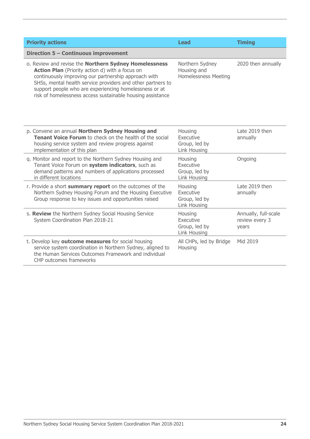| <b>Priority actions</b>                                                                                                                                                                                                                                                                          | Lead                                                   | <b>Timing</b>      |
|--------------------------------------------------------------------------------------------------------------------------------------------------------------------------------------------------------------------------------------------------------------------------------------------------|--------------------------------------------------------|--------------------|
| Direction 5 - Continuous improvement                                                                                                                                                                                                                                                             |                                                        |                    |
| o. Review and revise the Northern Sydney Homelessness<br><b>Action Plan</b> (Priority action d) with a focus on<br>continuously improving our partnership approach with<br>SHSs, mental health service providers and other partners to<br>support people who are experiencing homelessness or at | Northern Sydney<br>Housing and<br>Homelessness Meeting | 2020 then annually |

risk of homelessness access sustainable housing assistance

| p. Convene an annual Northern Sydney Housing and<br><b>Tenant Voice Forum</b> to check on the health of the social<br>housing service system and review progress against<br>implementation of this plan    | Housing<br>Executive<br>Group, led by<br>Link Housing               | Late 2019 then<br>annually                      |
|------------------------------------------------------------------------------------------------------------------------------------------------------------------------------------------------------------|---------------------------------------------------------------------|-------------------------------------------------|
| q. Monitor and report to the Northern Sydney Housing and<br>Tenant Voice Forum on system indicators, such as<br>demand patterns and numbers of applications processed<br>in different locations            | Housing<br>Executive<br>Group, led by<br><b>Link Housing</b>        | Ongoing                                         |
| r. Provide a short summary report on the outcomes of the<br>Northern Sydney Housing Forum and the Housing Executive<br>Group response to key issues and opportunities raised                               | Housing<br>Executive<br>Group, led by<br><b>Link Housing</b>        | Late 2019 then<br>annually                      |
| s. Review the Northern Sydney Social Housing Service<br>System Coordination Plan 2018-21                                                                                                                   | <b>Housing</b><br>Executive<br>Group, led by<br><b>Link Housing</b> | Annually, full-scale<br>review every 3<br>years |
| t. Develop key <b>outcome measures</b> for social housing<br>service system coordination in Northern Sydney, aligned to<br>the Human Services Outcomes Framework and individual<br>CHP outcomes frameworks | All CHPs, led by Bridge<br>Housing                                  | Mid 2019                                        |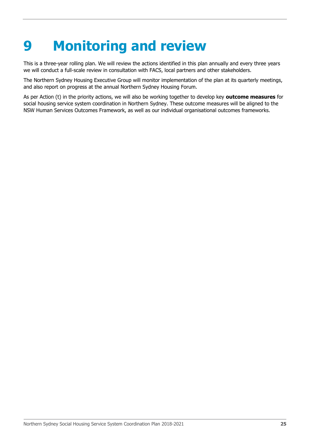## <span id="page-25-0"></span>**9 Monitoring and review**

This is a three-year rolling plan. We will review the actions identified in this plan annually and every three years we will conduct a full-scale review in consultation with FACS, local partners and other stakeholders.

The Northern Sydney Housing Executive Group will monitor implementation of the plan at its quarterly meetings, and also report on progress at the annual Northern Sydney Housing Forum.

As per Action (t) in the priority actions, we will also be working together to develop key **outcome measures** for social housing service system coordination in Northern Sydney. These outcome measures will be aligned to the NSW Human Services Outcomes Framework, as well as our individual organisational outcomes frameworks.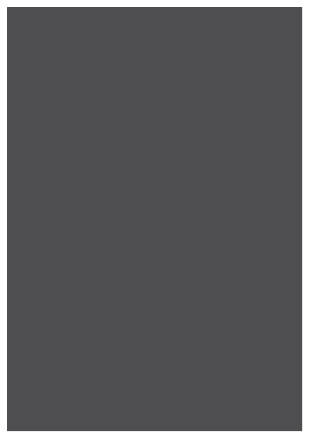